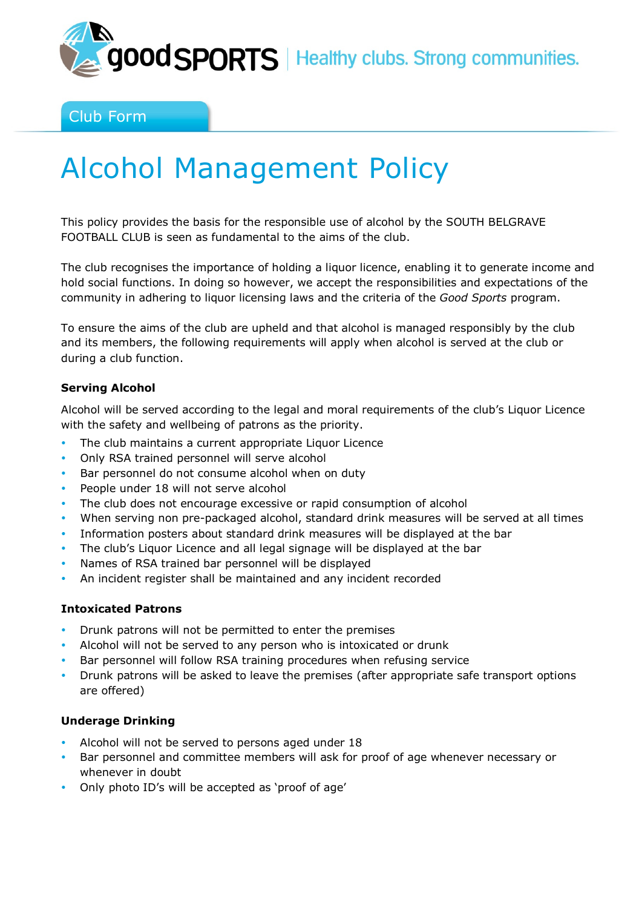

Club Form

# Alcohol Management Policy

This policy provides the basis for the responsible use of alcohol by the SOUTH BELGRAVE FOOTBALL CLUB is seen as fundamental to the aims of the club.

The club recognises the importance of holding a liquor licence, enabling it to generate income and hold social functions. In doing so however, we accept the responsibilities and expectations of the community in adhering to liquor licensing laws and the criteria of the *Good Sports* program.

To ensure the aims of the club are upheld and that alcohol is managed responsibly by the club and its members, the following requirements will apply when alcohol is served at the club or during a club function.

## **Serving Alcohol**

Alcohol will be served according to the legal and moral requirements of the club's Liquor Licence with the safety and wellbeing of patrons as the priority.

- The club maintains a current appropriate Liquor Licence
- Only RSA trained personnel will serve alcohol
- Bar personnel do not consume alcohol when on duty
- People under 18 will not serve alcohol
- The club does not encourage excessive or rapid consumption of alcohol
- When serving non pre-packaged alcohol, standard drink measures will be served at all times
- Information posters about standard drink measures will be displayed at the bar
- The club's Liquor Licence and all legal signage will be displayed at the bar
- Names of RSA trained bar personnel will be displayed
- An incident register shall be maintained and any incident recorded

#### **Intoxicated Patrons**

- Drunk patrons will not be permitted to enter the premises
- Alcohol will not be served to any person who is intoxicated or drunk
- Bar personnel will follow RSA training procedures when refusing service
- Drunk patrons will be asked to leave the premises (after appropriate safe transport options are offered)

#### **Underage Drinking**

- Alcohol will not be served to persons aged under 18
- Bar personnel and committee members will ask for proof of age whenever necessary or whenever in doubt
- Only photo ID's will be accepted as 'proof of age'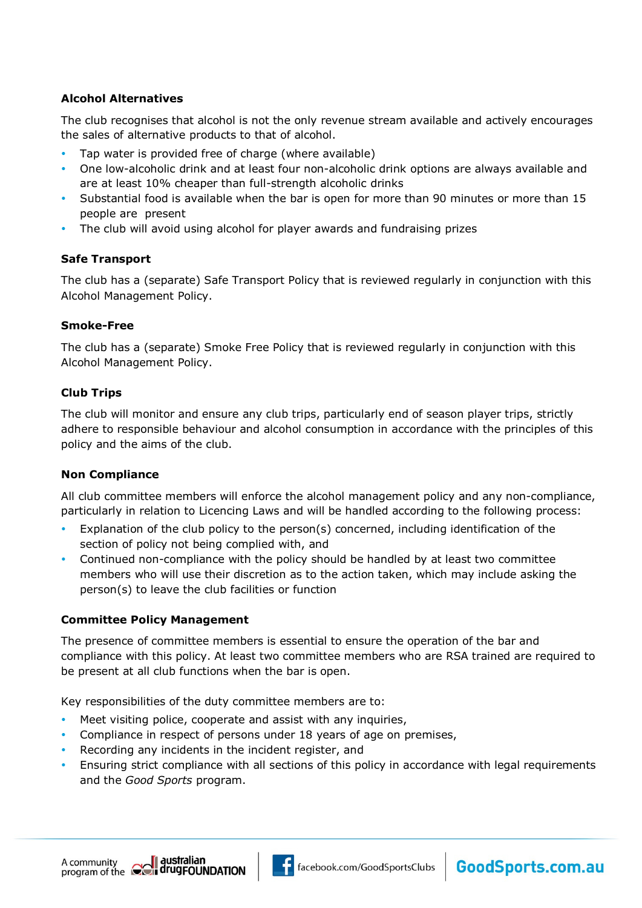# **Alcohol Alternatives**

The club recognises that alcohol is not the only revenue stream available and actively encourages the sales of alternative products to that of alcohol.

- Tap water is provided free of charge (where available)
- One low-alcoholic drink and at least four non-alcoholic drink options are always available and are at least 10% cheaper than full-strength alcoholic drinks
- Substantial food is available when the bar is open for more than 90 minutes or more than 15 people are present
- The club will avoid using alcohol for player awards and fundraising prizes

# **Safe Transport**

The club has a (separate) Safe Transport Policy that is reviewed regularly in conjunction with this Alcohol Management Policy.

## **Smoke-Free**

The club has a (separate) Smoke Free Policy that is reviewed regularly in conjunction with this Alcohol Management Policy.

## **Club Trips**

The club will monitor and ensure any club trips, particularly end of season player trips, strictly adhere to responsible behaviour and alcohol consumption in accordance with the principles of this policy and the aims of the club.

# **Non Compliance**

All club committee members will enforce the alcohol management policy and any non-compliance, particularly in relation to Licencing Laws and will be handled according to the following process:

- Explanation of the club policy to the person(s) concerned, including identification of the section of policy not being complied with, and
- Continued non-compliance with the policy should be handled by at least two committee members who will use their discretion as to the action taken, which may include asking the person(s) to leave the club facilities or function

# **Committee Policy Management**

The presence of committee members is essential to ensure the operation of the bar and compliance with this policy. At least two committee members who are RSA trained are required to be present at all club functions when the bar is open.

Key responsibilities of the duty committee members are to:

- Meet visiting police, cooperate and assist with any inquiries,
- Compliance in respect of persons under 18 years of age on premises,
- Recording any incidents in the incident register, and
- Ensuring strict compliance with all sections of this policy in accordance with legal requirements and the *Good Sports* program.





GoodSports.com.au